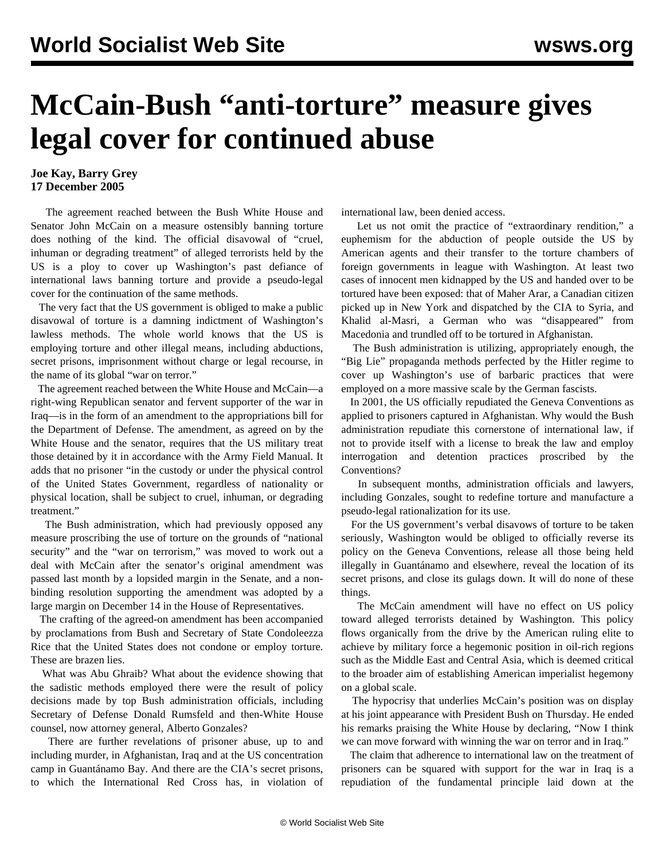## **McCain-Bush "anti-torture" measure gives legal cover for continued abuse**

## **Joe Kay, Barry Grey 17 December 2005**

 The agreement reached between the Bush White House and Senator John McCain on a measure ostensibly banning torture does nothing of the kind. The official disavowal of "cruel, inhuman or degrading treatment" of alleged terrorists held by the US is a ploy to cover up Washington's past defiance of international laws banning torture and provide a pseudo-legal cover for the continuation of the same methods.

 The very fact that the US government is obliged to make a public disavowal of torture is a damning indictment of Washington's lawless methods. The whole world knows that the US is employing torture and other illegal means, including abductions, secret prisons, imprisonment without charge or legal recourse, in the name of its global "war on terror."

 The agreement reached between the White House and McCain—a right-wing Republican senator and fervent supporter of the war in Iraq—is in the form of an amendment to the appropriations bill for the Department of Defense. The amendment, as agreed on by the White House and the senator, requires that the US military treat those detained by it in accordance with the Army Field Manual. It adds that no prisoner "in the custody or under the physical control of the United States Government, regardless of nationality or physical location, shall be subject to cruel, inhuman, or degrading treatment."

 The Bush administration, which had previously opposed any measure proscribing the use of torture on the grounds of "national security" and the "war on terrorism," was moved to work out a deal with McCain after the senator's original amendment was passed last month by a lopsided margin in the Senate, and a nonbinding resolution supporting the amendment was adopted by a large margin on December 14 in the House of Representatives.

 The crafting of the agreed-on amendment has been accompanied by proclamations from Bush and Secretary of State Condoleezza Rice that the United States does not condone or employ torture. These are brazen lies.

 What was Abu Ghraib? What about the evidence showing that the sadistic methods employed there were the result of policy decisions made by top Bush administration officials, including Secretary of Defense Donald Rumsfeld and then-White House counsel, now attorney general, Alberto Gonzales?

 There are further revelations of prisoner abuse, up to and including murder, in Afghanistan, Iraq and at the US concentration camp in Guantánamo Bay. And there are the CIA's secret prisons, to which the International Red Cross has, in violation of international law, been denied access.

 Let us not omit the practice of "extraordinary rendition," a euphemism for the abduction of people outside the US by American agents and their transfer to the torture chambers of foreign governments in league with Washington. At least two cases of innocent men kidnapped by the US and handed over to be tortured have been exposed: that of Maher Arar, a Canadian citizen picked up in New York and dispatched by the CIA to Syria, and Khalid al-Masri, a German who was "disappeared" from Macedonia and trundled off to be tortured in Afghanistan.

 The Bush administration is utilizing, appropriately enough, the "Big Lie" propaganda methods perfected by the Hitler regime to cover up Washington's use of barbaric practices that were employed on a more massive scale by the German fascists.

 In 2001, the US officially repudiated the Geneva Conventions as applied to prisoners captured in Afghanistan. Why would the Bush administration repudiate this cornerstone of international law, if not to provide itself with a license to break the law and employ interrogation and detention practices proscribed by the Conventions?

 In subsequent months, administration officials and lawyers, including Gonzales, sought to redefine torture and manufacture a pseudo-legal rationalization for its use.

 For the US government's verbal disavows of torture to be taken seriously, Washington would be obliged to officially reverse its policy on the Geneva Conventions, release all those being held illegally in Guantánamo and elsewhere, reveal the location of its secret prisons, and close its gulags down. It will do none of these things.

 The McCain amendment will have no effect on US policy toward alleged terrorists detained by Washington. This policy flows organically from the drive by the American ruling elite to achieve by military force a hegemonic position in oil-rich regions such as the Middle East and Central Asia, which is deemed critical to the broader aim of establishing American imperialist hegemony on a global scale.

 The hypocrisy that underlies McCain's position was on display at his joint appearance with President Bush on Thursday. He ended his remarks praising the White House by declaring, "Now I think we can move forward with winning the war on terror and in Iraq."

 The claim that adherence to international law on the treatment of prisoners can be squared with support for the war in Iraq is a repudiation of the fundamental principle laid down at the